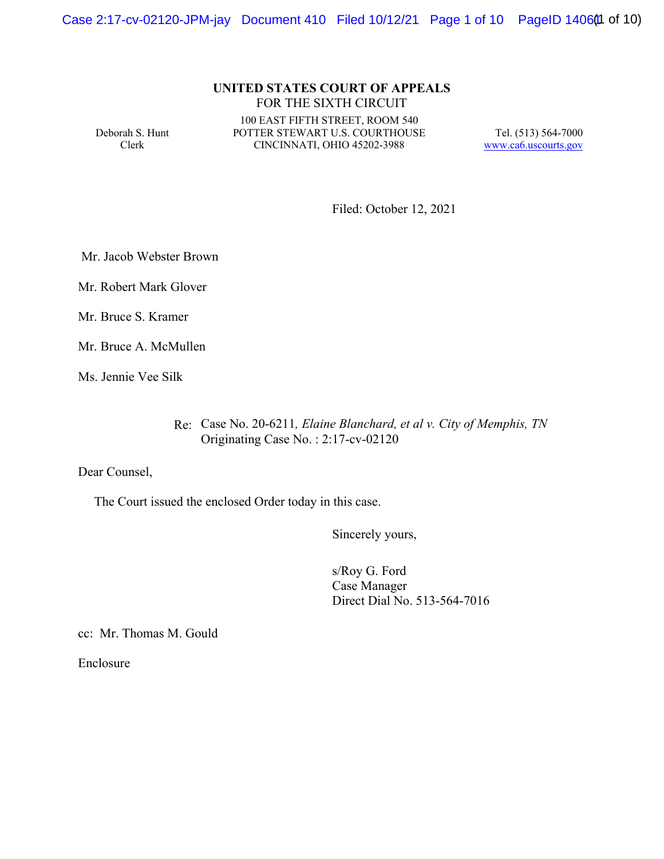#### **UNITED STATES COURT OF APPEALS** FOR THE SIXTH CIRCUIT

Deborah S. Hunt Clerk

100 EAST FIFTH STREET, ROOM 540 POTTER STEWART U.S. COURTHOUSE CINCINNATI, OHIO 45202-3988

Tel. (513) 564-7000 www.ca6.uscourts.gov

Filed: October 12, 2021

Mr. Jacob Webster Brown

Mr. Robert Mark Glover

Mr. Bruce S. Kramer

Mr. Bruce A. McMullen

Ms. Jennie Vee Silk

#### Re: Case No. 20-6211*, Elaine Blanchard, et al v. City of Memphis, TN* Originating Case No. : 2:17-cv-02120

Dear Counsel,

The Court issued the enclosed Order today in this case.

Sincerely yours,

s/Roy G. Ford Case Manager Direct Dial No. 513-564-7016

cc: Mr. Thomas M. Gould

Enclosure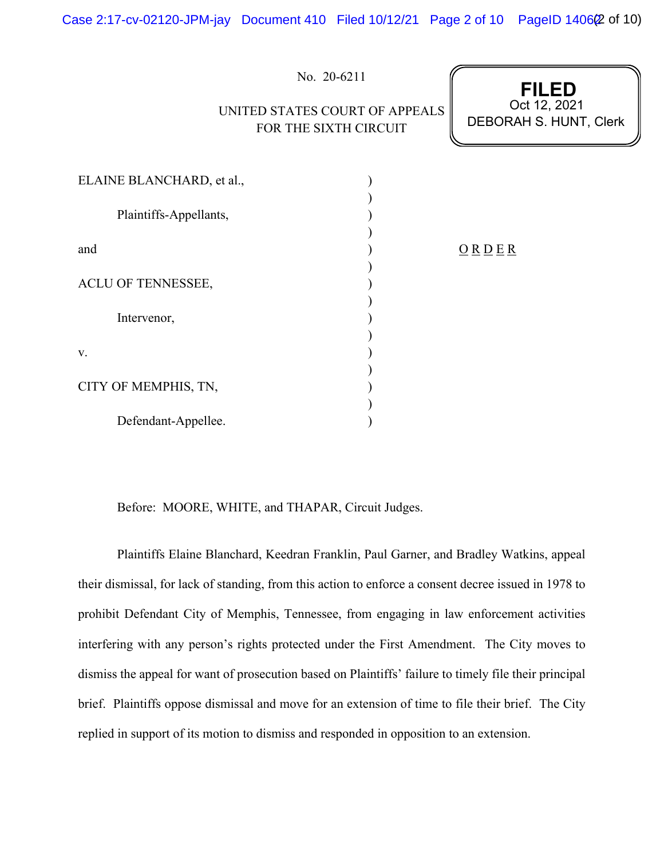|                           | No. 20-6211<br>UNITED STATES COURT OF APPEALS<br>FOR THE SIXTH CIRCUIT | <b>FILED</b><br>Oct 12, 2021<br>DEBORAH S. HUNT, Clerk |
|---------------------------|------------------------------------------------------------------------|--------------------------------------------------------|
|                           |                                                                        |                                                        |
| ELAINE BLANCHARD, et al., |                                                                        |                                                        |
| Plaintiffs-Appellants,    |                                                                        |                                                        |
| and                       |                                                                        | $\underline{O}$ R $\underline{D}$ E R                  |
| ACLU OF TENNESSEE,        |                                                                        |                                                        |
| Intervenor,               |                                                                        |                                                        |
| V.                        |                                                                        |                                                        |
| CITY OF MEMPHIS, TN,      |                                                                        |                                                        |
| Defendant-Appellee.       |                                                                        |                                                        |

Before: MOORE, WHITE, and THAPAR, Circuit Judges.

Plaintiffs Elaine Blanchard, Keedran Franklin, Paul Garner, and Bradley Watkins, appeal their dismissal, for lack of standing, from this action to enforce a consent decree issued in 1978 to prohibit Defendant City of Memphis, Tennessee, from engaging in law enforcement activities interfering with any person's rights protected under the First Amendment. The City moves to dismiss the appeal for want of prosecution based on Plaintiffs' failure to timely file their principal brief. Plaintiffs oppose dismissal and move for an extension of time to file their brief. The City replied in support of its motion to dismiss and responded in opposition to an extension.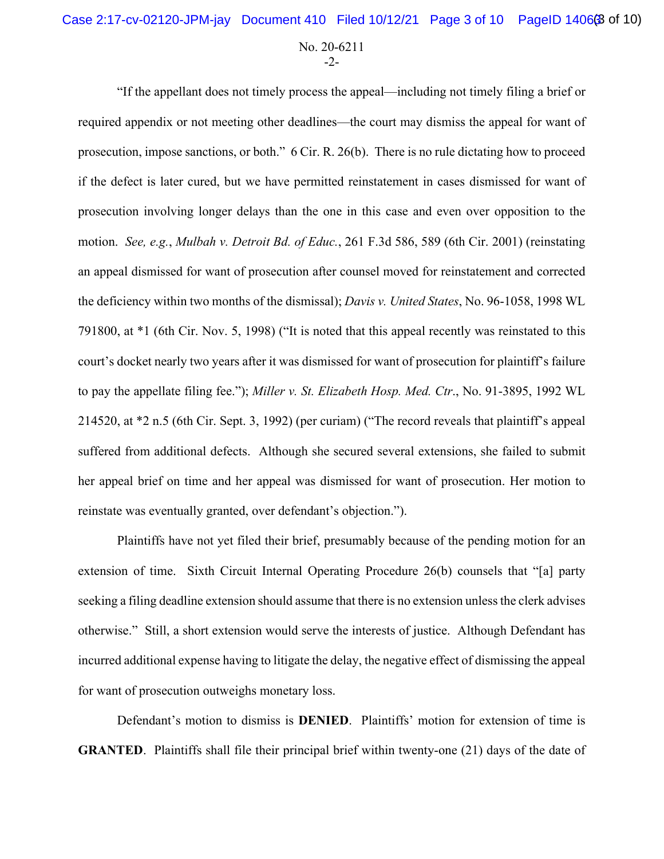No. 20-6211  $-2$ 

"If the appellant does not timely process the appeal—including not timely filing a brief or required appendix or not meeting other deadlines—the court may dismiss the appeal for want of prosecution, impose sanctions, or both." 6 Cir. R. 26(b). There is no rule dictating how to proceed if the defect is later cured, but we have permitted reinstatement in cases dismissed for want of prosecution involving longer delays than the one in this case and even over opposition to the motion. *See, e.g.*, *Mulbah v. Detroit Bd. of Educ.*, 261 F.3d 586, 589 (6th Cir. 2001) (reinstating an appeal dismissed for want of prosecution after counsel moved for reinstatement and corrected the deficiency within two months of the dismissal); *Davis v. United States*, No. 96-1058, 1998 WL 791800, at \*1 (6th Cir. Nov. 5, 1998) ("It is noted that this appeal recently was reinstated to this court's docket nearly two years after it was dismissed for want of prosecution for plaintiff's failure to pay the appellate filing fee."); *Miller v. St. Elizabeth Hosp. Med. Ctr*., No. 91-3895, 1992 WL 214520, at \*2 n.5 (6th Cir. Sept. 3, 1992) (per curiam) ("The record reveals that plaintiff's appeal suffered from additional defects. Although she secured several extensions, she failed to submit her appeal brief on time and her appeal was dismissed for want of prosecution. Her motion to reinstate was eventually granted, over defendant's objection.").

Plaintiffs have not yet filed their brief, presumably because of the pending motion for an extension of time. Sixth Circuit Internal Operating Procedure 26(b) counsels that "[a] party seeking a filing deadline extension should assume that there is no extension unless the clerk advises otherwise." Still, a short extension would serve the interests of justice. Although Defendant has incurred additional expense having to litigate the delay, the negative effect of dismissing the appeal for want of prosecution outweighs monetary loss.

Defendant's motion to dismiss is **DENIED**. Plaintiffs' motion for extension of time is **GRANTED**. Plaintiffs shall file their principal brief within twenty-one (21) days of the date of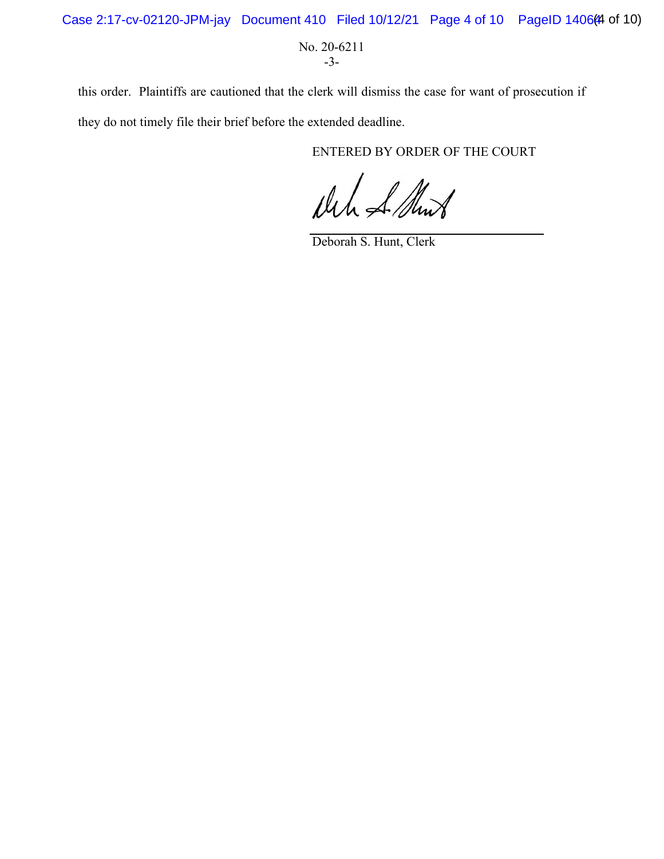Case 2:17-cv-02120-JPM-jay Document 410 Filed 10/12/21 Page 4 of 10 PageID 14064(4 of 10)

No. 20-6211 -3-

this order. Plaintiffs are cautioned that the clerk will dismiss the case for want of prosecution if they do not timely file their brief before the extended deadline.

ENTERED BY ORDER OF THE COURT

Which A Shout

Deborah S. Hunt, Clerk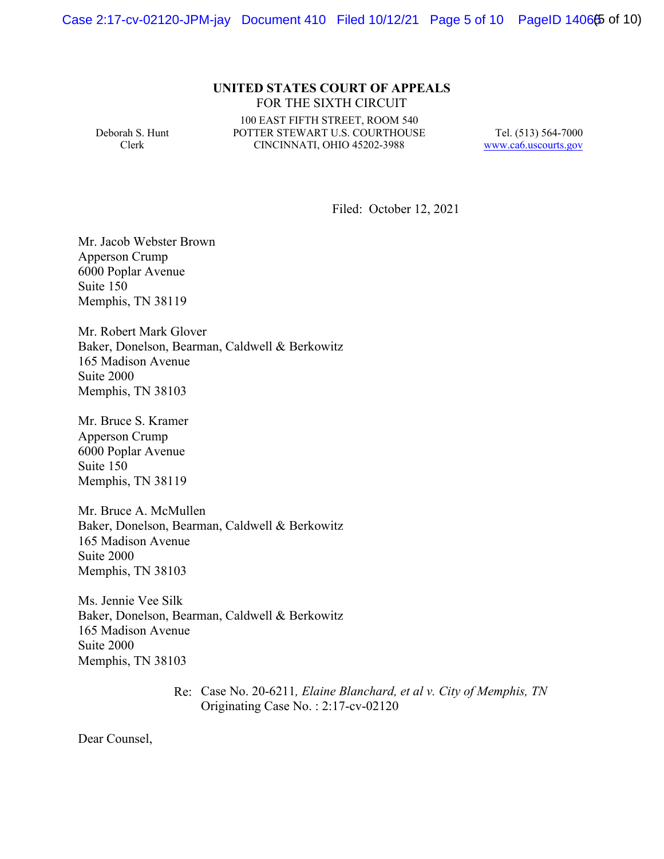#### **UNITED STATES COURT OF APPEALS** FOR THE SIXTH CIRCUIT

Deborah S. Hunt Clerk

100 EAST FIFTH STREET, ROOM 540 POTTER STEWART U.S. COURTHOUSE CINCINNATI, OHIO 45202-3988

Tel. (513) 564-7000 www.ca6.uscourts.gov

Filed: October 12, 2021

Mr. Jacob Webster Brown Apperson Crump 6000 Poplar Avenue Suite 150 Memphis, TN 38119

Mr. Robert Mark Glover Baker, Donelson, Bearman, Caldwell & Berkowitz 165 Madison Avenue Suite 2000 Memphis, TN 38103

Mr. Bruce S. Kramer Apperson Crump 6000 Poplar Avenue Suite 150 Memphis, TN 38119

Mr. Bruce A. McMullen Baker, Donelson, Bearman, Caldwell & Berkowitz 165 Madison Avenue Suite 2000 Memphis, TN 38103

Ms. Jennie Vee Silk Baker, Donelson, Bearman, Caldwell & Berkowitz 165 Madison Avenue Suite 2000 Memphis, TN 38103

> Re: Case No. 20-6211*, Elaine Blanchard, et al v. City of Memphis, TN* Originating Case No. : 2:17-cv-02120

Dear Counsel,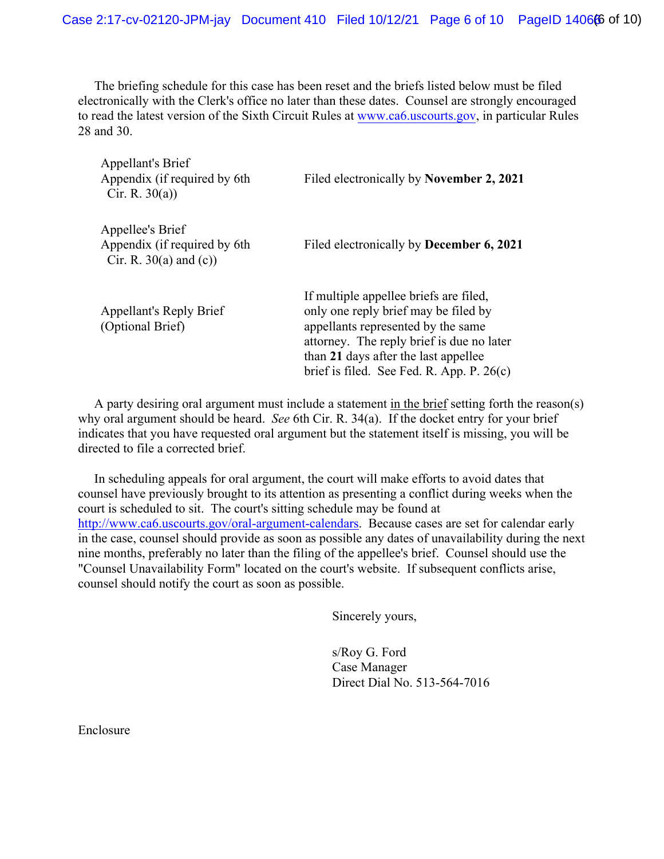The briefing schedule for this case has been reset and the briefs listed below must be filed electronically with the Clerk's office no later than these dates. Counsel are strongly encouraged to read the latest version of the Sixth Circuit Rules at www.ca6.uscourts.gov, in particular Rules 28 and 30.

| Appellant's Brief<br>Appendix (if required by 6th)<br>Cir. R. $30(a)$ )      | Filed electronically by November 2, 2021                                                                                                                                                                                                                 |
|------------------------------------------------------------------------------|----------------------------------------------------------------------------------------------------------------------------------------------------------------------------------------------------------------------------------------------------------|
| Appellee's Brief<br>Appendix (if required by 6th<br>Cir. R. $30(a)$ and (c)) | Filed electronically by <b>December 6, 2021</b>                                                                                                                                                                                                          |
| Appellant's Reply Brief<br>(Optional Brief)                                  | If multiple appellee briefs are filed,<br>only one reply brief may be filed by<br>appellants represented by the same<br>attorney. The reply brief is due no later<br>than 21 days after the last appellee<br>brief is filed. See Fed. R. App. P. $26(c)$ |

 A party desiring oral argument must include a statement in the brief setting forth the reason(s) why oral argument should be heard. *See* 6th Cir. R. 34(a). If the docket entry for your brief indicates that you have requested oral argument but the statement itself is missing, you will be directed to file a corrected brief.

 In scheduling appeals for oral argument, the court will make efforts to avoid dates that counsel have previously brought to its attention as presenting a conflict during weeks when the court is scheduled to sit. The court's sitting schedule may be found at http://www.ca6.uscourts.gov/oral-argument-calendars. Because cases are set for calendar early in the case, counsel should provide as soon as possible any dates of unavailability during the next nine months, preferably no later than the filing of the appellee's brief. Counsel should use the "Counsel Unavailability Form" located on the court's website. If subsequent conflicts arise, counsel should notify the court as soon as possible.

Sincerely yours,

s/Roy G. Ford Case Manager Direct Dial No. 513-564-7016

Enclosure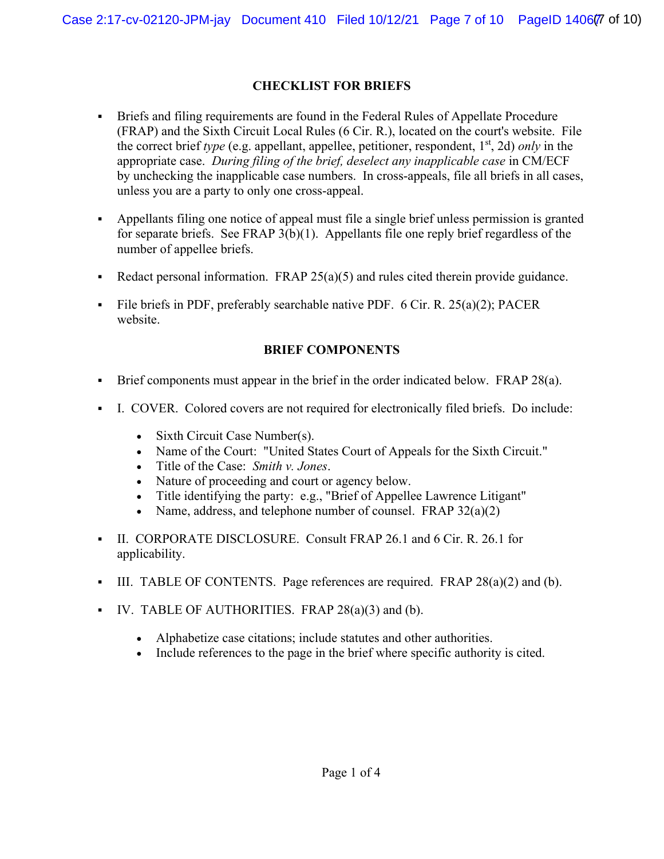### **CHECKLIST FOR BRIEFS**

- Briefs and filing requirements are found in the Federal Rules of Appellate Procedure (FRAP) and the Sixth Circuit Local Rules (6 Cir. R.), located on the court's website. File the correct brief *type* (e.g. appellant, appellee, petitioner, respondent, 1<sup>st</sup>, 2d) *only* in the appropriate case. *During filing of the brief, deselect any inapplicable case* in CM/ECF by unchecking the inapplicable case numbers. In cross-appeals, file all briefs in all cases, unless you are a party to only one cross-appeal.
- Appellants filing one notice of appeal must file a single brief unless permission is granted for separate briefs. See FRAP 3(b)(1). Appellants file one reply brief regardless of the number of appellee briefs.
- Redact personal information. FRAP  $25(a)(5)$  and rules cited therein provide guidance.
- File briefs in PDF, preferably searchable native PDF.  $6$  Cir. R.  $25(a)(2)$ ; PACER website.

### **BRIEF COMPONENTS**

- Brief components must appear in the brief in the order indicated below. FRAP  $28(a)$ .
- I. COVER. Colored covers are not required for electronically filed briefs. Do include:
	- Sixth Circuit Case Number(s).
	- Name of the Court: "United States Court of Appeals for the Sixth Circuit."
	- Title of the Case: *Smith v. Jones*.
	- Nature of proceeding and court or agency below.
	- Title identifying the party: e.g., "Brief of Appellee Lawrence Litigant"
	- Name, address, and telephone number of counsel. FRAP  $32(a)(2)$
- II. CORPORATE DISCLOSURE. Consult FRAP 26.1 and 6 Cir. R. 26.1 for applicability.
- III. TABLE OF CONTENTS. Page references are required. FRAP  $28(a)(2)$  and (b).
- $IV.$  TABLE OF AUTHORITIES. FRAP 28(a)(3) and (b).
	- Alphabetize case citations; include statutes and other authorities.
	- Include references to the page in the brief where specific authority is cited.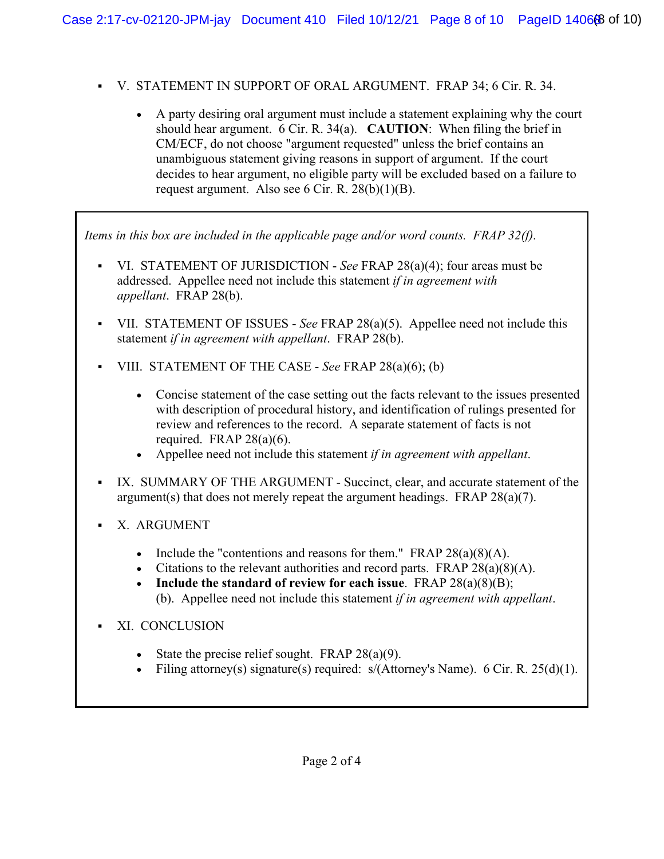- V. STATEMENT IN SUPPORT OF ORAL ARGUMENT. FRAP 34; 6 Cir. R. 34.
	- A party desiring oral argument must include a statement explaining why the court should hear argument. 6 Cir. R. 34(a). **CAUTION**: When filing the brief in CM/ECF, do not choose "argument requested" unless the brief contains an unambiguous statement giving reasons in support of argument. If the court decides to hear argument, no eligible party will be excluded based on a failure to request argument. Also see  $6$  Cir. R.  $28(b)(1)(B)$ .

 *Items in this box are included in the applicable page and/or word counts. FRAP 32(f).*

- VI. STATEMENT OF JURISDICTION *See* FRAP 28(a)(4); four areas must be addressed. Appellee need not include this statement *if in agreement with appellant*. FRAP 28(b).
- VII. STATEMENT OF ISSUES *See* FRAP 28(a)(5). Appellee need not include this statement *if in agreement with appellant*. FRAP 28(b).
- VIII. STATEMENT OF THE CASE *See* FRAP 28(a)(6); (b)
	- Concise statement of the case setting out the facts relevant to the issues presented with description of procedural history, and identification of rulings presented for review and references to the record. A separate statement of facts is not required. FRAP  $28(a)(6)$ .
	- Appellee need not include this statement *if in agreement with appellant*.
- IX. SUMMARY OF THE ARGUMENT Succinct, clear, and accurate statement of the argument(s) that does not merely repeat the argument headings. FRAP 28(a)(7).
- X. ARGUMENT
	- Include the "contentions and reasons for them." FRAP  $28(a)(8)(A)$ .
	- Citations to the relevant authorities and record parts. FRAP  $28(a)(8)(A)$ .
	- **Include the standard of review for each issue**. FRAP 28(a)(8)(B); (b). Appellee need not include this statement *if in agreement with appellant*.
- XI. CONCLUSION
	- State the precise relief sought. FRAP 28(a)(9).
	- Filing attorney(s) signature(s) required:  $s/(Attorney's Name)$ . 6 Cir. R. 25(d)(1).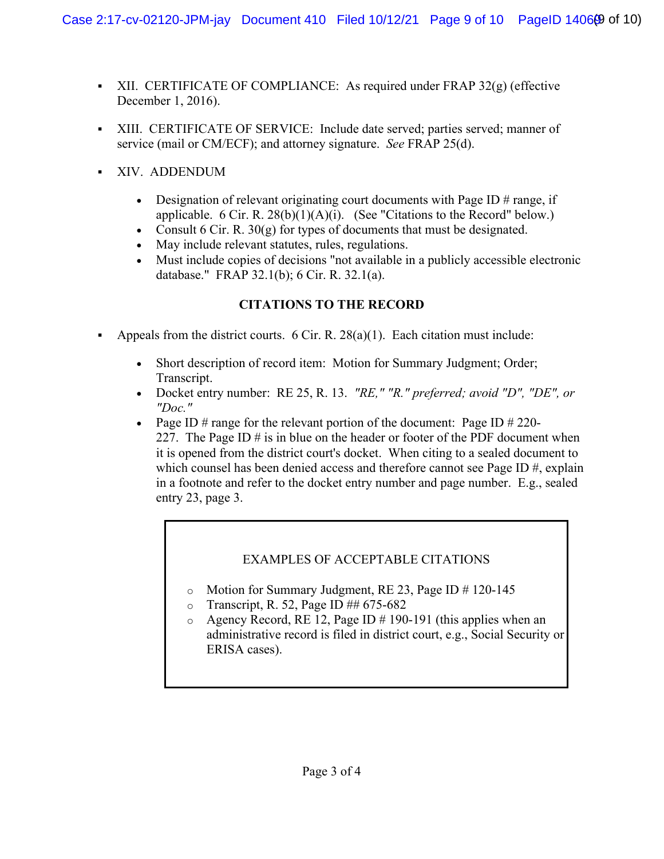- $\blacksquare$  XII. CERTIFICATE OF COMPLIANCE: As required under FRAP 32(g) (effective December 1, 2016).
- XIII. CERTIFICATE OF SERVICE: Include date served; parties served; manner of service (mail or CM/ECF); and attorney signature. *See* FRAP 25(d).
- XIV. ADDENDUM
	- Designation of relevant originating court documents with Page ID  $#$  range, if applicable. 6 Cir. R.  $28(b)(1)(A)(i)$ . (See "Citations to the Record" below.)
	- Consult 6 Cir. R.  $30(g)$  for types of documents that must be designated.
	- May include relevant statutes, rules, regulations.
	- Must include copies of decisions "not available in a publicly accessible electronic database." FRAP 32.1(b); 6 Cir. R. 32.1(a).

# **CITATIONS TO THE RECORD**

- Appeals from the district courts.  $6 \text{ Cir. R. } 28(a)(1)$ . Each citation must include:
	- Short description of record item: Motion for Summary Judgment; Order; Transcript.
	- Docket entry number: RE 25, R. 13. *"RE," "R." preferred; avoid "D", "DE", or "Doc."*
	- Page ID # range for the relevant portion of the document: Page ID  $#220$ -227. The Page ID  $\#$  is in blue on the header or footer of the PDF document when it is opened from the district court's docket. When citing to a sealed document to which counsel has been denied access and therefore cannot see Page ID #, explain in a footnote and refer to the docket entry number and page number. E.g., sealed entry 23, page 3.

## EXAMPLES OF ACCEPTABLE CITATIONS

- $\circ$  Motion for Summary Judgment, RE 23, Page ID # 120-145
- $\circ$  Transcript, R. 52, Page ID ## 675-682
- $\circ$  Agency Record, RE 12, Page ID # 190-191 (this applies when an administrative record is filed in district court, e.g., Social Security or ERISA cases).